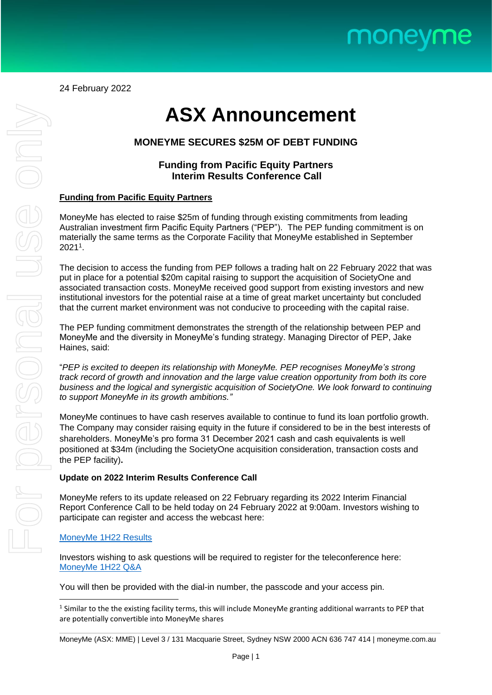

24 February 2022

# **ASX Announcement**

# **MONEYME SECURES \$25M OF DEBT FUNDING**

## **Funding from Pacific Equity Partners Interim Results Conference Call**

### **Funding from Pacific Equity Partners**

MoneyMe has elected to raise \$25m of funding through existing commitments from leading Australian investment firm Pacific Equity Partners ("PEP"). The PEP funding commitment is on materially the same terms as the Corporate Facility that MoneyMe established in September 2021<sup>1</sup> .

The decision to access the funding from PEP follows a trading halt on 22 February 2022 that was put in place for a potential \$20m capital raising to support the acquisition of SocietyOne and associated transaction costs. MoneyMe received good support from existing investors and new institutional investors for the potential raise at a time of great market uncertainty but concluded that the current market environment was not conducive to proceeding with the capital raise.

The PEP funding commitment demonstrates the strength of the relationship between PEP and MoneyMe and the diversity in MoneyMe's funding strategy. Managing Director of PEP, Jake Haines, said:

"*PEP is excited to deepen its relationship with MoneyMe. PEP recognises MoneyMe's strong track record of growth and innovation and the large value creation opportunity from both its core business and the logical and synergistic acquisition of SocietyOne. We look forward to continuing to support MoneyMe in its growth ambitions."*

MoneyMe continues to have cash reserves available to continue to fund its loan portfolio growth. The Company may consider raising equity in the future if considered to be in the best interests of shareholders. MoneyMe's pro forma 31 December 2021 cash and cash equivalents is well positioned at \$34m (including the SocietyOne acquisition consideration, transaction costs and the PEP facility)**.**

### **Update on 2022 Interim Results Conference Call**

MoneyMe refers to its update released on 22 February regarding its 2022 Interim Financial Report Conference Call to be held today on 24 February 2022 at 9:00am. Investors wishing to participate can register and access the webcast here:

#### [MoneyMe 1H22 Results](https://webcast1.boardroom.media/watch_broadcast.php?id=61ee3b0ee2326)

Investors wishing to ask questions will be required to register for the teleconference here: [MoneyMe 1H22 Q&A](https://redback.events/ir-3d274f)

You will then be provided with the dial-in number, the passcode and your access pin.

 $<sup>1</sup>$  Similar to the the existing facility terms, this will include MoneyMe granting additional warrants to PEP that</sup> are potentially convertible into MoneyMe shares

MoneyMe (ASX: MME) | Level 3 / 131 Macquarie Street, Sydney NSW 2000 ACN 636 747 414 | [moneyme.com.au](https://sezzle.com/)